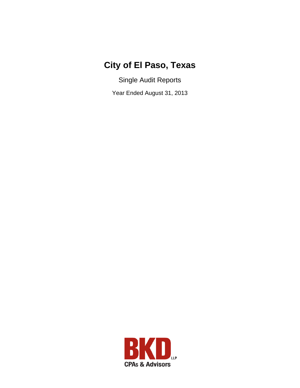## **City of El Paso, Texas**

Single Audit Reports

Year Ended August 31, 2013

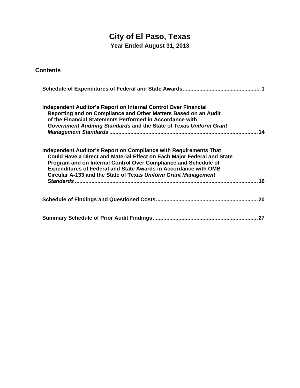# **City of El Paso, Texas**

**Year Ended August 31, 2013** 

**Contents** 

| Independent Auditor's Report on Internal Control Over Financial<br>Reporting and on Compliance and Other Matters Based on an Audit<br>of the Financial Statements Performed in Accordance with<br>Government Auditing Standards and the State of Texas Uniform Grant<br>14                                                                                        |
|-------------------------------------------------------------------------------------------------------------------------------------------------------------------------------------------------------------------------------------------------------------------------------------------------------------------------------------------------------------------|
| Independent Auditor's Report on Compliance with Requirements That<br>Could Have a Direct and Material Effect on Each Major Federal and State<br>Program and on Internal Control Over Compliance and Schedule of<br><b>Expenditures of Federal and State Awards in Accordance with OMB</b><br>Circular A-133 and the State of Texas Uniform Grant Management<br>16 |
|                                                                                                                                                                                                                                                                                                                                                                   |
|                                                                                                                                                                                                                                                                                                                                                                   |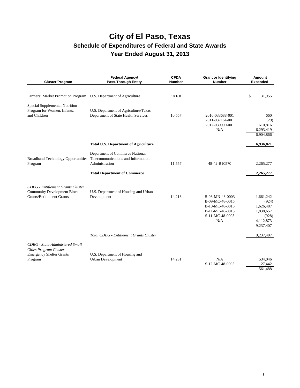| Cluster/Program                                                                                                    | Federal Agency/<br><b>Pass-Through Entity</b>                                                                                  | <b>CFDA</b><br><b>Number</b> | <b>Grant or Identifying</b><br><b>Number</b>                                                       | Amount<br>Expended                                                              |
|--------------------------------------------------------------------------------------------------------------------|--------------------------------------------------------------------------------------------------------------------------------|------------------------------|----------------------------------------------------------------------------------------------------|---------------------------------------------------------------------------------|
| Farmers' Market Promotion Program U.S. Department of Agriculture                                                   |                                                                                                                                | 10.168                       |                                                                                                    | \$<br>31,955                                                                    |
| Special Supplemental Nutrition<br>Program for Women, Infants,<br>and Children                                      | U.S. Department of Agriculture/Texas<br>Department of State Health Services                                                    | 10.557                       | 2010-033688-001<br>2011-037164-001<br>2012-039990-001<br>N/A                                       | 660<br>(29)<br>610,816<br>6,293,419<br>6,904,866                                |
|                                                                                                                    | <b>Total U.S. Department of Agriculture</b>                                                                                    |                              |                                                                                                    | 6,936,821                                                                       |
| <b>Broadband Technology Opportunities</b><br>Program                                                               | Department of Commerce National<br>Telecommunications and Information<br>Administration<br><b>Total Department of Commerce</b> | 11.557                       | 48-42-B10570                                                                                       | 2,265,277<br>2,265,277                                                          |
| <b>CDBG</b> - Entitlement Grants Cluster<br><b>Community Development Block</b><br><b>Grants/Entitlement Grants</b> | U.S. Department of Housing and Urban<br>Development                                                                            | 14.218                       | B-08-MN-48-0003<br>B-09-MC-48-0015<br>B-10-MC-48-0015<br>B-11-MC-48-0015<br>S-11-MC-48-0005<br>N/A | 1,661,242<br>(924)<br>1,626,487<br>1,838,657<br>(928)<br>4,112,873<br>9,237,407 |
|                                                                                                                    | Total CDBG - Entitlement Grants Cluster                                                                                        |                              |                                                                                                    | 9,237,407                                                                       |
| CDBG - State-Administered Small<br>Cities Program Cluster<br><b>Emergency Shelter Grants</b><br>Program            | U.S. Department of Housing and<br>Urban Development                                                                            | 14.231                       | N/A<br>S-12-MC-48-0005                                                                             | 534,046<br>27,442<br>561,488                                                    |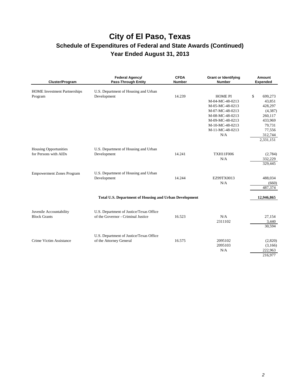| Cluster/Program                     | <b>Federal Agency/</b><br><b>Pass-Through Entity</b>          | <b>CFDA</b><br><b>Number</b> | <b>Grant or Identifying</b><br><b>Number</b> | Amount<br><b>Expended</b> |
|-------------------------------------|---------------------------------------------------------------|------------------------------|----------------------------------------------|---------------------------|
| <b>HOME</b> Investment Partnerships | U.S. Department of Housing and Urban                          |                              |                                              |                           |
| Program                             | Development                                                   | 14.239                       | <b>HOME PI</b>                               | \$<br>699,273             |
|                                     |                                                               |                              | M-04-MC-48-0213                              | 43,851                    |
|                                     |                                                               |                              | M-05-MC-48-0213                              | 428,297                   |
|                                     |                                                               |                              | M-07-MC-48-0213                              | (4,387)                   |
|                                     |                                                               |                              | M-08-MC-48-0213                              | 260,117                   |
|                                     |                                                               |                              | M-09-MC-48-0213                              | 433,969                   |
|                                     |                                                               |                              | M-10-MC-48-0213                              | 79,731                    |
|                                     |                                                               |                              | M-11-MC-48-0213                              | 77,556                    |
|                                     |                                                               |                              | N/A                                          | 312,744                   |
|                                     |                                                               |                              |                                              | 2,331,151                 |
| <b>Housing Opportunities</b>        | U.S. Department of Housing and Urban                          |                              |                                              |                           |
| for Persons with AIDs               | Development                                                   | 14.241                       | <b>TXH11F006</b>                             | (2,784)                   |
|                                     |                                                               |                              | N/A                                          | 332,229                   |
|                                     |                                                               |                              |                                              | 329,445                   |
| <b>Empowerment Zones Program</b>    | U.S. Department of Housing and Urban                          |                              |                                              |                           |
|                                     | Development                                                   | 14.244                       | EZ99TX0013                                   | 488,034                   |
|                                     |                                                               |                              | N/A                                          | (660)                     |
|                                     |                                                               |                              |                                              | 487,374                   |
|                                     | <b>Total U.S. Department of Housing and Urban Development</b> |                              |                                              | 12,946,865                |
|                                     |                                                               |                              |                                              |                           |
| Juvenile Accountability             | U.S. Department of Justice/Texas Office                       |                              |                                              |                           |
| <b>Block Grants</b>                 | of the Governor - Criminal Justice                            | 16.523                       | N/A                                          | 27,154                    |
|                                     |                                                               |                              | 2311102                                      | 3,440                     |
|                                     |                                                               |                              |                                              | 30,594                    |
|                                     | U.S. Department of Justice/Texas Office                       |                              |                                              |                           |
| Crime Victim Assistance             | of the Attorney General                                       | 16.575                       | 2095102                                      | (2,820)                   |
|                                     |                                                               |                              | 2095103                                      | (3,166)                   |
|                                     |                                                               |                              | N/A                                          | 222,963                   |
|                                     |                                                               |                              |                                              | 216,977                   |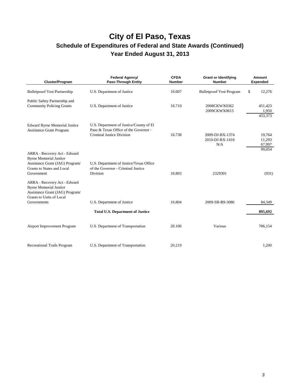| Cluster/Program                                                                                                                              | Federal Agency/<br><b>Pass-Through Entity</b>                                                                 | <b>CFDA</b><br><b>Number</b> | <b>Grant or Identifying</b><br><b>Number</b> | Amount<br><b>Expended</b>   |
|----------------------------------------------------------------------------------------------------------------------------------------------|---------------------------------------------------------------------------------------------------------------|------------------------------|----------------------------------------------|-----------------------------|
| <b>Bulletproof Vest Partnership</b>                                                                                                          | U.S. Department of Justice                                                                                    | 16.607                       | <b>Bulletproof Vest Program</b>              | \$<br>12,276                |
| Public Safety Partnership and<br><b>Community Policing Grants</b>                                                                            | U.S. Department of Justice                                                                                    | 16.710                       | 2008CKWX0362<br>2009CKWX0615                 | 451,423<br>1,950<br>453,373 |
| <b>Edward Byrne Memorial Justice</b><br><b>Assistance Grant Program</b>                                                                      | U.S. Department of Justice/County of El<br>Paso & Texas Office of the Governor -<br>Criminal Justice Division | 16.738                       | 2009-DJ-BX-1374<br>2010-DJ-BX-1416<br>N/A    | 19,764<br>11,293<br>67,997  |
| ARRA - Recovery Act - Edward<br><b>Byrne Memorial Justice</b><br>Assistance Grant (JAG) Program/<br>Grants to States and Local<br>Government | U.S. Department of Justice/Texas Office<br>of the Governor - Criminal Justice<br>Division                     | 16.803                       | 2329301                                      | 99,054<br>(931)             |
| ARRA - Recovery Act - Edward<br><b>Byrne Memorial Justice</b><br>Assistance Grant (JAG) Program/<br>Grants to Units of Local<br>Governments  | U.S. Department of Justice                                                                                    | 16.804                       | 2009-SB-B9-3086                              | 84,349                      |
|                                                                                                                                              | <b>Total U.S. Department of Justice</b>                                                                       |                              |                                              | 895,692                     |
| Airport Improvement Program                                                                                                                  | U.S. Department of Transportation                                                                             | 20.106                       | Various                                      | 706,154                     |
| <b>Recreational Trails Program</b>                                                                                                           | U.S. Department of Transportation                                                                             | 20.219                       |                                              | 1,200                       |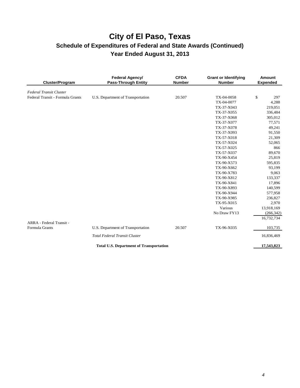| <b>Cluster/Program</b>           | Federal Agency/<br><b>Pass-Through Entity</b>  | <b>CFDA</b><br><b>Number</b> | <b>Grant or Identifying</b><br><b>Number</b> | Amount<br><b>Expended</b> |
|----------------------------------|------------------------------------------------|------------------------------|----------------------------------------------|---------------------------|
| <b>Federal Transit Cluster</b>   |                                                |                              |                                              |                           |
| Federal Transit - Formula Grants | U.S. Department of Transportation              | 20.507                       | TX-04-0058                                   | \$<br>297                 |
|                                  |                                                |                              | TX-04-0077                                   | 4,288                     |
|                                  |                                                |                              | TX-37-X043                                   | 219,051                   |
|                                  |                                                |                              | TX-37-X055                                   | 336,484                   |
|                                  |                                                |                              | TX-37-X068                                   | 305,012                   |
|                                  |                                                |                              | TX-37-X077                                   | 77,571                    |
|                                  |                                                |                              | TX-37-X078                                   | 49,241                    |
|                                  |                                                |                              | TX-37-X093                                   | 91,550                    |
|                                  |                                                |                              | TX-57-X018                                   | 21,309                    |
|                                  |                                                |                              | TX-57-X024                                   | 52,065                    |
|                                  |                                                |                              | TX-57-X025                                   | 866                       |
|                                  |                                                |                              | TX-57-X037                                   | 89,670                    |
|                                  |                                                |                              | TX-90-X454                                   | 25,819                    |
|                                  |                                                |                              | TX-90-X573                                   | 595,835                   |
|                                  |                                                |                              | TX-90-X662                                   | 93,199                    |
|                                  |                                                |                              | TX-90-X783                                   | 9,063                     |
|                                  |                                                |                              | TX-90-X812                                   | 133,337                   |
|                                  |                                                |                              | TX-90-X841                                   | 17,896                    |
|                                  |                                                |                              | TX-90-X893                                   | 140,599                   |
|                                  |                                                |                              | TX-90-X944                                   | 577,958                   |
|                                  |                                                |                              | TX-90-X985                                   | 236,827                   |
|                                  |                                                |                              | TX-95-X015                                   | 2,970                     |
|                                  |                                                |                              | Various                                      | 13,918,169                |
|                                  |                                                |                              | No Draw FY13                                 | (266, 342)                |
| ARRA - Federal Transit -         |                                                |                              |                                              | 16,732,734                |
| Formula Grants                   | U.S. Department of Transportation              | 20.507                       | TX-96-X035                                   | 103,735                   |
|                                  | <b>Total Federal Transit Cluster</b>           |                              |                                              | 16,836,469                |
|                                  | <b>Total U.S. Department of Transportation</b> |                              |                                              | 17,543,823                |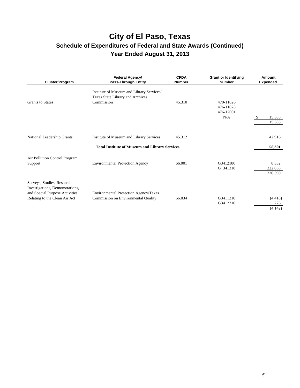| Cluster/Program                                                                                                                   | Federal Agency/<br><b>Pass-Through Entity</b>                                                     | <b>CFDA</b><br><b>Number</b> | <b>Grant or Identifying</b><br><b>Number</b> | Amount<br><b>Expended</b>   |
|-----------------------------------------------------------------------------------------------------------------------------------|---------------------------------------------------------------------------------------------------|------------------------------|----------------------------------------------|-----------------------------|
| <b>Grants to States</b>                                                                                                           | Institute of Museum and Library Services/<br>Texas State Library and Archives<br>Commission       | 45.310                       | 470-11026<br>476-11028<br>476-12001<br>N/A   | 15,385<br>15,385            |
| National Leadership Grants                                                                                                        | Institute of Museum and Library Services<br><b>Total Institute of Museum and Library Services</b> | 45.312                       |                                              | 42,916<br>58,301            |
| Air Pollution Control Program<br>Support                                                                                          | <b>Environmental Protection Agency</b>                                                            | 66.001                       | G3412180<br>G_341318                         | 8,332<br>222,058<br>230,390 |
| Surveys, Studies, Research,<br>Investigations, Demonstrations,<br>and Special Purpose Activities<br>Relating to the Clean Air Act | Environmental Protection Agency/Texas<br>Commission on Environmental Quality                      | 66.034                       | G3411210<br>G3412210                         | (4, 418)<br>276<br>(4, 142) |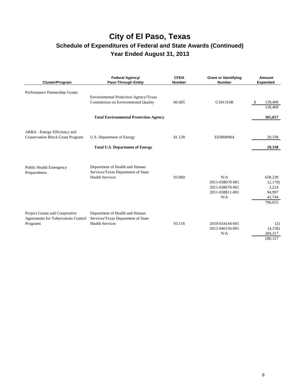| Cluster/Program                                                                   | Federal Agency/<br><b>Pass-Through Entity</b>                                                  | <b>CFDA</b><br><b>Number</b> | <b>Grant or Identifying</b><br><b>Number</b>                        | Amount<br><b>Expended</b>                                  |
|-----------------------------------------------------------------------------------|------------------------------------------------------------------------------------------------|------------------------------|---------------------------------------------------------------------|------------------------------------------------------------|
| Performance Partnership Grants                                                    | Environmental Protection Agency/Texas<br>Commission on Environmental Quality                   | 66.605                       | G341316R                                                            | \$<br>139,409<br>139,409                                   |
|                                                                                   | <b>Total Environmental Protection Agency</b>                                                   |                              |                                                                     | 365,657                                                    |
| ARRA - Energy Efficiency and<br><b>Conservation Block Grant Program</b>           | U.S. Department of Energy<br><b>Total U.S. Department of Energy</b>                            | 81.128                       | EE0000964                                                           | 29,338<br>29,338                                           |
| <b>Public Health Emergency</b><br>Preparedness                                    | Department of Health and Human<br>Services/Texas Department of State<br><b>Health Services</b> | 93.069                       | N/A<br>2011-038670-001<br>2011-038678-001<br>2011-038811-001<br>N/A | 658,230<br>(2,170)<br>2,224<br>94,997<br>42,744<br>796,025 |
| Project Grants and Cooperative<br>Agreements for Tuberculosis Control<br>Programs | Department of Health and Human<br>Services/Texas Department of State<br><b>Health Services</b> | 93.116                       | 2010-034144-001<br>2012-040156-001<br>N/A                           | (2)<br>(4,158)<br>284,317<br>280,157                       |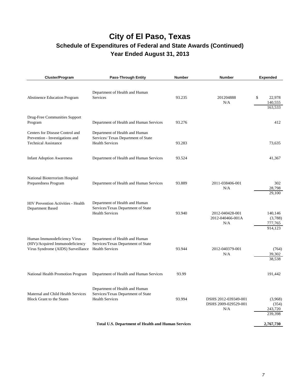## **City of El Paso, Texas**

### **Schedule of Expenditures of Federal and State Awards (Continued) Year Ended August 31, 2013**

| Cluster/Program                                                                                       | <b>Pass-Through Entity</b>                                                                      | <b>Number</b> | <b>Number</b>                                       | <b>Expended</b>                          |
|-------------------------------------------------------------------------------------------------------|-------------------------------------------------------------------------------------------------|---------------|-----------------------------------------------------|------------------------------------------|
| <b>Abstinence Education Program</b>                                                                   | Department of Health and Human<br>Services                                                      | 93.235        | 201204888<br>N/A                                    | \$<br>22,978<br>140,555<br>163,533       |
| Drug-Free Communities Support<br>Program                                                              | Department of Health and Human Services                                                         | 93.276        |                                                     | 412                                      |
| Centers for Disease Control and<br>Prevention - Investigations and<br><b>Technical Assistance</b>     | Department of Health and Human<br>Services/ Texas Department of State<br><b>Health Services</b> | 93.283        |                                                     | 73,635                                   |
| <b>Infant Adoption Awareness</b>                                                                      | Department of Health and Human Services                                                         | 93.524        |                                                     | 41,367                                   |
| National Bioterrorism Hospital<br>Preparedness Program                                                | Department of Health and Human Services                                                         | 93.889        | 2011-038406-001<br>N/A                              | 302<br>28,798<br>29,100                  |
| <b>HIV Prevention Activities - Health</b><br>Department Based                                         | Department of Health and Human<br>Services/Texas Department of State<br><b>Health Services</b>  | 93.940        | 2012-040428-001<br>2012-040466-001A<br>N/A          | 140,146<br>(3,788)<br>777,765<br>914,123 |
| Human Immunodeficiency Virus<br>(HIV)/Acquired Immunodeficiency<br>Virus Syndrome (AIDS) Surveillance | Department of Health and Human<br>Services/Texas Department of State<br><b>Health Services</b>  | 93.944        | 2012-040379-001<br>N/A                              | (764)<br>39,302<br>38,538                |
| National Health Promotion Program                                                                     | Department of Health and Human Services                                                         | 93.99         |                                                     | 191,442                                  |
| Maternal and Child Health Services<br><b>Block Grant to the States</b>                                | Department of Health and Human<br>Services/Texas Department of State<br><b>Health Services</b>  | 93.994        | DSHS 2012-039349-001<br>DSHS 2009-029529-001<br>N/A | (3,968)<br>(354)<br>243,720<br>239,398   |
|                                                                                                       | <b>Total U.S. Department of Health and Human Services</b>                                       |               |                                                     | 2,767,730                                |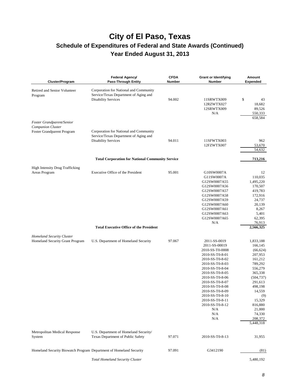| Cluster/Program                                                                     | Federal Agency/<br><b>Pass-Through Entity</b>                                                                 | <b>CFDA</b><br><b>Number</b> | <b>Grant or Identifying</b><br>Number                                                                                                                                                                                                                                                                     | <b>Amount</b><br><b>Expended</b>                                                                                                                                                                               |
|-------------------------------------------------------------------------------------|---------------------------------------------------------------------------------------------------------------|------------------------------|-----------------------------------------------------------------------------------------------------------------------------------------------------------------------------------------------------------------------------------------------------------------------------------------------------------|----------------------------------------------------------------------------------------------------------------------------------------------------------------------------------------------------------------|
| Retired and Senior Volunteer<br>Program                                             | Corporation for National and Community<br>Service/Texas Department of Aging and<br><b>Disability Services</b> | 94.002                       | 11SRWTX009<br>12RZWTX027<br>12SRWTX009<br>N/A                                                                                                                                                                                                                                                             | \$<br>43<br>18,682<br>89,526<br>550,333<br>658,584                                                                                                                                                             |
| Foster Grandparent/Senior<br><b>Companion Cluster</b><br>Foster Grandparent Program | Corporation for National and Community<br>Service/Texas Department of Aging and<br><b>Disability Services</b> | 94.011                       | 11SFWTX003<br>12FZWTX007                                                                                                                                                                                                                                                                                  | 962<br>53,670<br>54,632                                                                                                                                                                                        |
|                                                                                     | <b>Total Corporation for National Community Service</b>                                                       |                              |                                                                                                                                                                                                                                                                                                           | 713,216                                                                                                                                                                                                        |
| <b>High Intensity Drug Trafficking</b><br>Areas Program                             | Executive Office of the President                                                                             | 95.001                       | G10SW0007A<br>G11SW0007A<br>G12SW0007A55<br>G12SW0007A56<br>G12SW0007A57<br>G12SW0007A58<br>G12SW0007A59<br>G12SW0007A60<br>G12SW0007A61<br>G12SW0007A63<br>G12SW0007A65<br>N/A                                                                                                                           | 12<br>110,035<br>1,495,220<br>170,507<br>419,783<br>172,916<br>24,737<br>20,139<br>8,267<br>5,401<br>62,395<br>76,913                                                                                          |
|                                                                                     | <b>Total Executive Office of the President</b>                                                                |                              |                                                                                                                                                                                                                                                                                                           | 2,566,325                                                                                                                                                                                                      |
| <b>Homeland Security Cluster</b><br>Homeland Security Grant Program                 | U.S. Department of Homeland Security                                                                          | 97.067                       | 2011-SS-0019<br>2011-SS-00019<br>2010-SS-T0-0008<br>2010-SS-T0-8-01<br>2010-SS-T0-8-02<br>2010-SS-T0-8-03<br>2010-SS-T0-8-04<br>2010-SS-T0-8-05<br>2010-SS-T0-8-06<br>2010-SS-T0-8-07<br>2010-SS-T0-8-08<br>2010-SS-T0-8-09<br>2010-SS-T0-8-10<br>2010-SS-T0-8-11<br>2010-SS-T0-8-12<br>N/A<br>N/A<br>N/A | 1,833,188<br>166,145<br>(66, 624)<br>207,953<br>161,212<br>789,292<br>556,279<br>365,338<br>(504, 737)<br>291,613<br>498,198<br>14,559<br>(9)<br>15,329<br>816,880<br>21,000<br>74,330<br>208,372<br>5,448,318 |
| Metropolitan Medical Response<br>System                                             | U.S. Department of Homeland Security/<br>Texas Department of Public Safety                                    | 97.071                       | 2010-SS-T0-8-13                                                                                                                                                                                                                                                                                           | 31,955                                                                                                                                                                                                         |
| Homeland Security Biowatch Program Department of Homeland Security                  |                                                                                                               | 97.091                       | G3412190                                                                                                                                                                                                                                                                                                  | (81)                                                                                                                                                                                                           |
|                                                                                     | <b>Total Homeland Security Cluster</b>                                                                        |                              |                                                                                                                                                                                                                                                                                                           | 5,480,192                                                                                                                                                                                                      |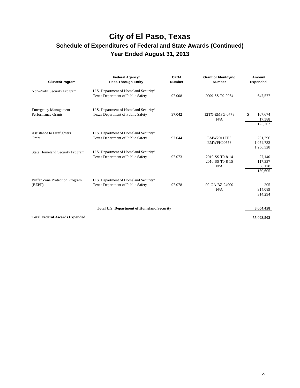| <b>Cluster/Program</b>                                   | Federal Agency/<br><b>Pass-Through Entity</b>                                     | <b>CFDA</b><br><b>Number</b> | <b>Grant or Identifying</b><br><b>Number</b> | Amount<br><b>Expended</b>              |
|----------------------------------------------------------|-----------------------------------------------------------------------------------|------------------------------|----------------------------------------------|----------------------------------------|
| Non-Profit Security Program                              | U.S. Department of Homeland Security/<br><b>Texas Department of Public Safety</b> | 97.008                       | 2009-SS-T9-0064                              | 647,577                                |
| <b>Emergency Management</b><br><b>Performance Grants</b> | U.S. Department of Homeland Security/<br><b>Texas Department of Public Safety</b> | 97.042                       | 12TX-EMPG-0778<br>N/A                        | \$<br>107,674<br>17,588<br>125,262     |
| <b>Assistance to Firefighters</b><br>Grant               | U.S. Department of Homeland Security/<br>Texas Department of Public Safety        | 97.044                       | <b>EMW2011FH5</b><br><b>EMWFH00553</b>       | 201,796<br>1,054,732<br>1,256,528      |
| <b>State Homeland Security Program</b>                   | U.S. Department of Homeland Security/<br><b>Texas Department of Public Safety</b> | 97.073                       | 2010-SS-T0-8-14<br>2010-SS-T0-8-15<br>N/A    | 27,140<br>117,337<br>36,128<br>180,605 |
| <b>Buffer Zone Protection Program</b><br>(BZPP)          | U.S. Department of Homeland Security/<br><b>Texas Department of Public Safety</b> | 97.078                       | 09-GA-BZ-24000<br>N/A                        | 205<br>314,089<br>314,294              |
|                                                          | <b>Total U.S. Department of Homeland Security</b>                                 |                              |                                              | 8,004,458                              |
| <b>Total Federal Awards Expended</b>                     |                                                                                   |                              |                                              | 55,093,503                             |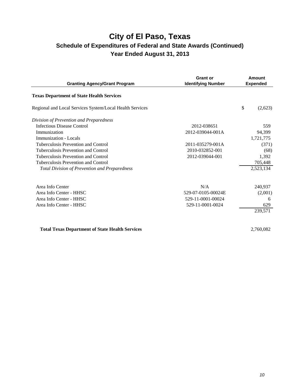| <b>Granting Agency/Grant Program</b>                     | <b>Grant or</b><br><b>Identifying Number</b> | Amount<br><b>Expended</b> |
|----------------------------------------------------------|----------------------------------------------|---------------------------|
| <b>Texas Department of State Health Services</b>         |                                              |                           |
| Regional and Local Services System/Local Health Services |                                              | \$<br>(2,623)             |
| Division of Prevention and Preparedness                  |                                              |                           |
| <b>Infectious Disease Control</b>                        | 2012-038651                                  | 559                       |
| Immunization                                             | 2012-039044-001A                             | 94,399                    |
| Immunization - Locals                                    |                                              | 1,721,775                 |
| Tuberculosis Prevention and Control                      | 2011-035279-001A                             | (371)                     |
| Tuberculosis Prevention and Control                      | 2010-032852-001                              | (68)                      |
| Tuberculosis Prevention and Control                      | 2012-039044-001                              | 1,392                     |
| Tuberculosis Prevention and Control                      |                                              | 705,448                   |
| <b>Total Division of Prevention and Preparedness</b>     |                                              | 2,523,134                 |
| Area Info Center                                         | N/A                                          | 240,937                   |
| Area Info Center - HHSC                                  | 529-07-0105-00024E                           | (2,001)                   |
| Area Info Center - HHSC                                  | 529-11-0001-00024                            | 6                         |
| Area Info Center - HHSC                                  | 529-11-0001-0024                             | 629                       |
|                                                          |                                              | 239,571                   |
| <b>Total Texas Department of State Health Services</b>   |                                              | 2,760,082                 |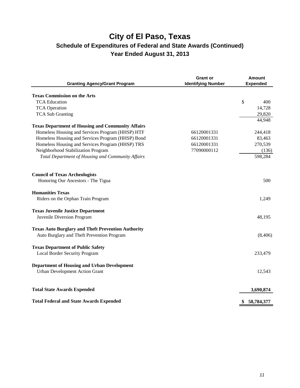| <b>Granting Agency/Grant Program</b>                      | <b>Grant or</b><br><b>Identifying Number</b> | <b>Amount</b><br><b>Expended</b> |
|-----------------------------------------------------------|----------------------------------------------|----------------------------------|
| <b>Texas Commission on the Arts</b>                       |                                              |                                  |
| <b>TCA Education</b>                                      |                                              | \$<br>400                        |
| <b>TCA Operation</b>                                      |                                              | 14,728                           |
| <b>TCA Sub Granting</b>                                   |                                              | 29,820                           |
|                                                           |                                              | 44,948                           |
| <b>Texas Department of Housing and Community Affairs</b>  |                                              |                                  |
| Homeless Housing and Services Program (HHSP) HTF          | 66120001331                                  | 244,418                          |
| Homeless Housing and Services Program (HHSP) Bond         | 66120001331                                  | 83,463                           |
| Homeless Housing and Services Program (HHSP) TRS          | 66120001331                                  | 270,539                          |
| Neighborhood Stabilization Program                        | 77090000112                                  | (136)                            |
| Total Department of Housing and Community Affairs         |                                              | 598,284                          |
| <b>Council of Texas Archeologists</b>                     |                                              |                                  |
| Honoring Our Ancestors - The Tigua                        |                                              | 500                              |
| <b>Humanities Texas</b>                                   |                                              |                                  |
| Riders on the Orphan Train Program                        |                                              | 1,249                            |
| <b>Texas Juvenile Justice Department</b>                  |                                              |                                  |
| Juvenile Diversion Program                                |                                              | 48,195                           |
| <b>Texas Auto Burglary and Theft Prevention Authority</b> |                                              |                                  |
| Auto Burglary and Theft Prevention Program                |                                              | (8,406)                          |
| <b>Texas Department of Public Safety</b>                  |                                              |                                  |
| Local Border Security Program                             |                                              | 233,479                          |
| Department of Housing and Urban Development               |                                              |                                  |
| <b>Urban Development Action Grant</b>                     |                                              | 12,543                           |
| <b>Total State Awards Expended</b>                        |                                              | 3,690,874                        |
| <b>Total Federal and State Awards Expended</b>            |                                              | \$<br>58,784,377                 |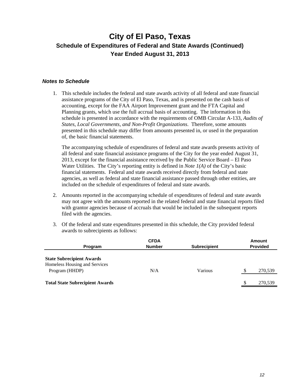#### *Notes to Schedule*

1. This schedule includes the federal and state awards activity of all federal and state financial assistance programs of the City of El Paso, Texas, and is presented on the cash basis of accounting, except for the FAA Airport Improvement grant and the FTA Capital and Planning grants, which use the full accrual basis of accounting. The information in this schedule is presented in accordance with the requirements of OMB Circular A-133, *Audits of States, Local Governments, and Non-Profit Organizations*. Therefore, some amounts presented in this schedule may differ from amounts presented in, or used in the preparation of, the basic financial statements.

The accompanying schedule of expenditures of federal and state awards presents activity of all federal and state financial assistance programs of the City for the year ended August 31, 2013, except for the financial assistance received by the Public Service Board – El Paso Water Utilities. The City's reporting entity is defined in *Note 1(A)* of the City's basic financial statements. Federal and state awards received directly from federal and state agencies, as well as federal and state financial assistance passed through other entities, are included on the schedule of expenditures of federal and state awards.

- 2. Amounts reported in the accompanying schedule of expenditures of federal and state awards may not agree with the amounts reported in the related federal and state financial reports filed with grantor agencies because of accruals that would be included in the subsequent reports filed with the agencies.
- 3. Of the federal and state expenditures presented in this schedule, the City provided federal awards to subrecipients as follows:

| Program                                                                             | <b>CFDA</b><br><b>Number</b> | <b>Subrecipient</b> |   | <b>Amount</b><br><b>Provided</b> |
|-------------------------------------------------------------------------------------|------------------------------|---------------------|---|----------------------------------|
| <b>State Subrecipient Awards</b><br>Homeless Housing and Services<br>Program (HHDP) | N/A                          | Various             |   | 270,539                          |
| <b>Total State Subrecipient Awards</b>                                              |                              |                     | S | 270,539                          |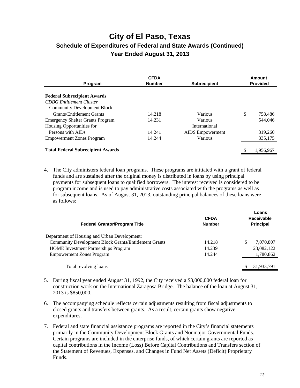| <b>CFDA</b><br><b>Number</b><br><b>Subrecipient</b><br>Program |        | Amount<br><b>Provided</b> |    |           |
|----------------------------------------------------------------|--------|---------------------------|----|-----------|
| <b>Federal Subrecipient Awards</b>                             |        |                           |    |           |
| <b>CDBG</b> Entitlement Cluster                                |        |                           |    |           |
| <b>Community Development Block</b>                             |        |                           |    |           |
| <b>Grants/Entitlement Grants</b>                               | 14.218 | Various                   | \$ | 758,486   |
| <b>Emergency Shelter Grants Program</b>                        | 14.231 | Various                   |    | 544,046   |
| Housing Opportunities for                                      |        | International             |    |           |
| Persons with AIDs                                              | 14.241 | <b>AIDS</b> Empowerment   |    | 319,260   |
| <b>Empowerment Zones Program</b>                               | 14.244 | Various                   |    | 335,175   |
| <b>Total Federal Subrecipient Awards</b>                       |        |                           | \$ | 1.956.967 |

4. The City administers federal loan programs. These programs are initiated with a grant of federal funds and are sustained after the original money is distributed in loans by using principal payments for subsequent loans to qualified borrowers. The interest received is considered to be program income and is used to pay administrative costs associated with the programs as well as for subsequent loans. As of August 31, 2013, outstanding principal balances of these loans were as follows:

| <b>Federal Grantor/Program Title</b>                         | <b>CFDA</b><br><b>Number</b> | Loans<br>Receivable<br><b>Principal</b> |  |
|--------------------------------------------------------------|------------------------------|-----------------------------------------|--|
| Department of Housing and Urban Development:                 |                              |                                         |  |
| <b>Community Development Block Grants/Entitlement Grants</b> | 14.218                       | S<br>7.070.807                          |  |
| <b>HOME</b> Investment Partnerships Program                  | 14.239                       | 23,082,122                              |  |
| <b>Empowerment Zones Program</b>                             | 14.244                       | 1,780,862                               |  |
| Total revolving loans                                        |                              | 31,933,791                              |  |

- 5. During fiscal year ended August 31, 1992, the City received a \$3,000,000 federal loan for construction work on the International Zaragosa Bridge. The balance of the loan at August 31, 2013 is \$850,000.
- 6. The accompanying schedule reflects certain adjustments resulting from fiscal adjustments to closed grants and transfers between grants. As a result, certain grants show negative expenditures.
- 7. Federal and state financial assistance programs are reported in the City's financial statements primarily in the Community Development Block Grants and Nonmajor Governmental Funds. Certain programs are included in the enterprise funds, of which certain grants are reported as capital contributions in the Income (Loss) Before Capital Contributions and Transfers section of the Statement of Revenues, Expenses, and Changes in Fund Net Assets (Deficit) Proprietary Funds.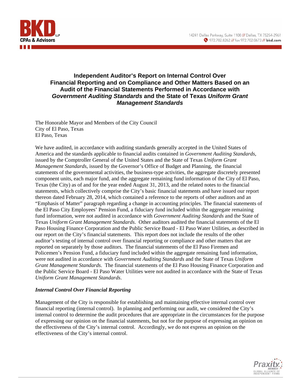

#### **Independent Auditor's Report on Internal Control Over Financial Reporting and on Compliance and Other Matters Based on an Audit of the Financial Statements Performed in Accordance with**  *Government Auditing Standards* **and the State of Texas** *Uniform Grant Management Standards*

The Honorable Mayor and Members of the City Council City of El Paso, Texas El Paso, Texas

We have audited, in accordance with auditing standards generally accepted in the United States of America and the standards applicable to financial audits contained in *Government Auditing Standards*, issued by the Comptroller General of the United States and the State of Texas *Uniform Grant Management Standards*, issued by the Governor's Office of Budget and Planning, the financial statements of the governmental activities, the business-type activities, the aggregate discretely presented component units, each major fund, and the aggregate remaining fund information of the City of El Paso, Texas (the City) as of and for the year ended August 31, 2013, and the related notes to the financial statements, which collectively comprise the City's basic financial statements and have issued our report thereon dated February 28, 2014, which contained a reference to the reports of other auditors and an "Emphasis of Matter" paragraph regarding a change in accounting principles. The financial statements of the El Paso City Employees' Pension Fund, a fiduciary fund included within the aggregate remaining fund information, were not audited in accordance with *Government Auditing Standards* and the State of Texas *Uniform Grant Management Standards*. Other auditors audited the financial statements of the El Paso Housing Finance Corporation and the Public Service Board - El Paso Water Utilities, as described in our report on the City's financial statements. This report does not include the results of the other auditor's testing of internal control over financial reporting or compliance and other matters that are reported on separately by those auditors. The financial statements of the El Paso Firemen and Policemen's Pension Fund, a fiduciary fund included within the aggregate remaining fund information, were not audited in accordance with *Government Auditing Standards* and the State of Texas *Uniform Grant Management Standards*. The financial statements of the El Paso Housing Finance Corporation and the Public Service Board - El Paso Water Utilities were not audited in accordance with the State of Texas *Uniform Grant Management Standards*.

#### *Internal Control Over Financial Reporting*

Management of the City is responsible for establishing and maintaining effective internal control over financial reporting (internal control). In planning and performing our audit, we considered the City's internal control to determine the audit procedures that are appropriate in the circumstances for the purpose of expressing our opinion on the financial statements, but not for the purpose of expressing an opinion on the effectiveness of the City's internal control. Accordingly, we do not express an opinion on the effectiveness of the City's internal control.

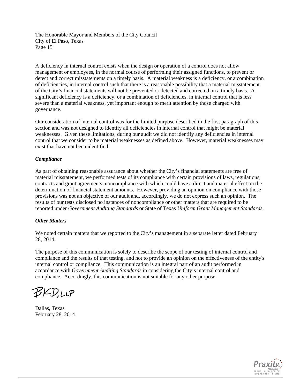A deficiency in internal control exists when the design or operation of a control does not allow management or employees, in the normal course of performing their assigned functions, to prevent or detect and correct misstatements on a timely basis. A material weakness is a deficiency, or a combination of deficiencies, in internal control such that there is a reasonable possibility that a material misstatement of the City's financial statements will not be prevented or detected and corrected on a timely basis. A significant deficiency is a deficiency, or a combination of deficiencies, in internal control that is less severe than a material weakness, yet important enough to merit attention by those charged with governance.

Our consideration of internal control was for the limited purpose described in the first paragraph of this section and was not designed to identify all deficiencies in internal control that might be material weaknesses. Given these limitations, during our audit we did not identify any deficiencies in internal control that we consider to be material weaknesses as defined above. However, material weaknesses may exist that have not been identified.

#### *Compliance*

As part of obtaining reasonable assurance about whether the City's financial statements are free of material misstatement, we performed tests of its compliance with certain provisions of laws, regulations, contracts and grant agreements, noncompliance with which could have a direct and material effect on the determination of financial statement amounts. However, providing an opinion on compliance with those provisions was not an objective of our audit and, accordingly, we do not express such an opinion. The results of our tests disclosed no instances of noncompliance or other matters that are required to be reported under *Government Auditing Standards* or State of Texas *Uniform Grant Management Standards*.

#### *Other Matters*

We noted certain matters that we reported to the City's management in a separate letter dated February 28, 2014.

The purpose of this communication is solely to describe the scope of our testing of internal control and compliance and the results of that testing, and not to provide an opinion on the effectiveness of the entity's internal control or compliance. This communication is an integral part of an audit performed in accordance with *Government Auditing Standards* in considering the City's internal control and compliance. Accordingly, this communication is not suitable for any other purpose.

BKD.LLP

Dallas, Texas February 28, 2014

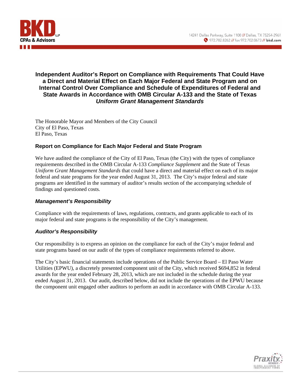

#### **Independent Auditor's Report on Compliance with Requirements That Could Have a Direct and Material Effect on Each Major Federal and State Program and on Internal Control Over Compliance and Schedule of Expenditures of Federal and State Awards in Accordance with OMB Circular A-133 and the State of Texas**  *Uniform Grant Management Standards*

The Honorable Mayor and Members of the City Council City of El Paso, Texas El Paso, Texas

#### **Report on Compliance for Each Major Federal and State Program**

We have audited the compliance of the City of El Paso, Texas (the City) with the types of compliance requirements described in the OMB Circular A-133 *Compliance Supplement* and the State of Texas *Uniform Grant Management Standards* that could have a direct and material effect on each of its major federal and state programs for the year ended August 31, 2013. The City's major federal and state programs are identified in the summary of auditor's results section of the accompanying schedule of findings and questioned costs.

#### *Management's Responsibility*

Compliance with the requirements of laws, regulations, contracts, and grants applicable to each of its major federal and state programs is the responsibility of the City's management.

#### *Auditor's Responsibility*

Our responsibility is to express an opinion on the compliance for each of the City's major federal and state programs based on our audit of the types of compliance requirements referred to above.

The City's basic financial statements include operations of the Public Service Board – El Paso Water Utilities (EPWU), a discretely presented component unit of the City, which received \$694,852 in federal awards for the year ended February 28, 2013, which are not included in the schedule during the year ended August 31, 2013. Our audit, described below, did not include the operations of the EPWU because the component unit engaged other auditors to perform an audit in accordance with OMB Circular A-133.

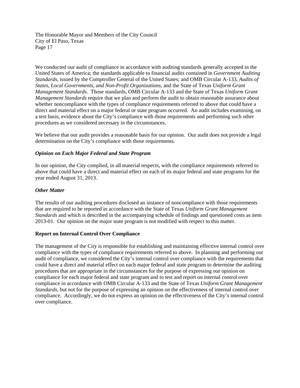We conducted our audit of compliance in accordance with auditing standards generally accepted in the United States of America; the standards applicable to financial audits contained in *Government Auditing Standards*, issued by the Comptroller General of the United States; and OMB Circular A-133, *Audits of States, Local Governments, and Non-Profit Organizations*, and the State of Texas *Uniform Grant Management Standards*. Those standards, OMB Circular A-133 and the State of Texas *Uniform Grant Management Standards* require that we plan and perform the audit to obtain reasonable assurance about whether noncompliance with the types of compliance requirements referred to above that could have a direct and material effect on a major federal or state program occurred. An audit includes examining, on a test basis, evidence about the City's compliance with those requirements and performing such other procedures as we considered necessary in the circumstances.

We believe that our audit provides a reasonable basis for our opinion. Our audit does not provide a legal determination on the City's compliance with those requirements.

#### *Opinion on Each Major Federal and State Program*

In our opinion, the City complied, in all material respects, with the compliance requirements referred to above that could have a direct and material effect on each of its major federal and state programs for the year ended August 31, 2013.

#### *Other Matter*

The results of our auditing procedures disclosed an instance of noncompliance with those requirements that are required to be reported in accordance with the State of Texas *Uniform Grant Management Standards* and which is described in the accompanying schedule of findings and questioned costs as item 2013-01. Our opinion on the major state program is not modified with respect to this matter.

#### **Report on Internal Control Over Compliance**

The management of the City is responsible for establishing and maintaining effective internal control over compliance with the types of compliance requirements referred to above. In planning and performing our audit of compliance, we considered the City's internal control over compliance with the requirements that could have a direct and material effect on each major federal and state program to determine the auditing procedures that are appropriate in the circumstances for the purpose of expressing our opinion on compliance for each major federal and state program and to test and report on internal control over compliance in accordance with OMB Circular A-133 and the State of Texas *Uniform Grant Management Standards*, but not for the purpose of expressing an opinion on the effectiveness of internal control over compliance. Accordingly, we do not express an opinion on the effectiveness of the City's internal control over compliance.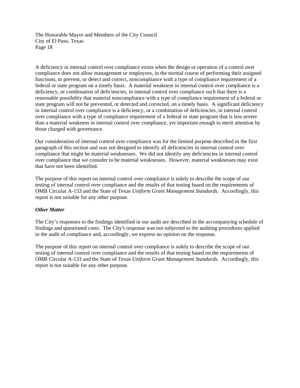A deficiency in internal control over compliance exists when the design or operation of a control over compliance does not allow management or employees, in the normal course of performing their assigned functions, to prevent, or detect and correct, noncompliance with a type of compliance requirement of a federal or state program on a timely basis. A material weakness in internal control over compliance is a deficiency, or combination of deficiencies, in internal control over compliance such that there is a reasonable possibility that material noncompliance with a type of compliance requirement of a federal or state program will not be prevented, or detected and corrected, on a timely basis. A significant deficiency in internal control over compliance is a deficiency, or a combination of deficiencies, in internal control over compliance with a type of compliance requirement of a federal or state program that is less severe than a material weakness in internal control over compliance, yet important enough to merit attention by those charged with governance.

Our consideration of internal control over compliance was for the limited purpose described in the first paragraph of this section and was not designed to identify all deficiencies in internal control over compliance that might be material weaknesses. We did not identify any deficiencies in internal control over compliance that we consider to be material weaknesses. However, material weaknesses may exist that have not been identified.

The purpose of this report on internal control over compliance is solely to describe the scope of our testing of internal control over compliance and the results of that testing based on the requirements of OMB Circular A-133 and the State of Texas *Uniform Grant Management Standards*. Accordingly, this report is not suitable for any other purpose.

#### *Other Matter*

The City's responses to the findings identified in our audit are described in the accompanying schedule of findings and questioned costs. The City's response was not subjected to the auditing procedures applied in the audit of compliance and, accordingly, we express no opinion on the response.

The purpose of this report on internal control over compliance is solely to describe the scope of our testing of internal control over compliance and the results of that testing based on the requirements of OMB Circular A-133 and the State of Texas *Uniform Grant Management Standards*. Accordingly, this report is not suitable for any other purpose.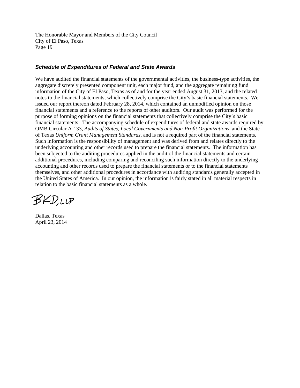#### *Schedule of Expenditures of Federal and State Awards*

We have audited the financial statements of the governmental activities, the business-type activities, the aggregate discretely presented component unit, each major fund, and the aggregate remaining fund information of the City of El Paso, Texas as of and for the year ended August 31, 2013, and the related notes to the financial statements, which collectively comprise the City's basic financial statements. We issued our report thereon dated February 28, 2014, which contained an unmodified opinion on those financial statements and a reference to the reports of other auditors. Our audit was performed for the purpose of forming opinions on the financial statements that collectively comprise the City's basic financial statements. The accompanying schedule of expenditures of federal and state awards required by OMB Circular A-133, *Audits of States, Local Governments and Non-Profit Organizations*, and the State of Texas *Uniform Grant Management Standards,* and is not a required part of the financial statements. Such information is the responsibility of management and was derived from and relates directly to the underlying accounting and other records used to prepare the financial statements. The information has been subjected to the auditing procedures applied in the audit of the financial statements and certain additional procedures, including comparing and reconciling such information directly to the underlying accounting and other records used to prepare the financial statements or to the financial statements themselves, and other additional procedures in accordance with auditing standards generally accepted in the United States of America. In our opinion, the information is fairly stated in all material respects in relation to the basic financial statements as a whole.

BKD.LLP

Dallas, Texas April 23, 2014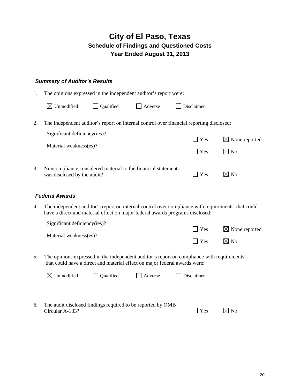#### *Summary of Auditor's Results*

|  |  |  | The opinions expressed in the independent auditor's report were: |
|--|--|--|------------------------------------------------------------------|
|  |  |  |                                                                  |
|  |  |  |                                                                  |
|  |  |  |                                                                  |
|  |  |  |                                                                  |

|    | $\boxtimes$ Unmodified<br>Qualified<br>Adverse                                               | Disclaimer                             |                           |
|----|----------------------------------------------------------------------------------------------|----------------------------------------|---------------------------|
|    | The independent auditor's report on internal control over financial reporting disclosed:     |                                        |                           |
|    | Significant deficiency(ies)?                                                                 | <b>Yes</b>                             | $\boxtimes$ None reported |
|    | Material weakness(es)?                                                                       | $\mathbf{V}$ $\mathbf{Y}$ $\mathbf{F}$ | $\boxtimes$ No            |
| 3. | Noncompliance considered material to the financial statements<br>was disclosed by the audit? | <b>Yes</b>                             | $\times$ l No             |

#### *Federal Awards*

4. The independent auditor's report on internal control over compliance with requirements that could have a direct and material effect on major federal awards programs disclosed:

| Significant deficiency(ies)? |                    |                           |
|------------------------------|--------------------|---------------------------|
|                              | $\Box$ Yes         | $\boxtimes$ None reported |
| Material weakness(es)?       |                    |                           |
|                              | $\blacksquare$ Yes | $\boxtimes$ No            |
|                              |                    |                           |

5. The opinions expressed in the independent auditor's report on compliance with requirements that could have a direct and material effect on major federal awards were:

|    | $\boxtimes$ Unmodified                                                         | $\Box$ Qualified | Adverse | Disclaimer |               |
|----|--------------------------------------------------------------------------------|------------------|---------|------------|---------------|
|    |                                                                                |                  |         |            |               |
| 6. | The audit disclosed findings required to be reported by OMB<br>Circular A-133? |                  |         | <b>Yes</b> | $\times$ l No |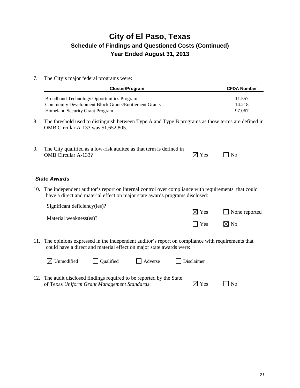7. The City's major federal programs were:

|    | <b>Cluster/Program</b>                                                                                                                                                               |                 | <b>CFDA Number</b>         |
|----|--------------------------------------------------------------------------------------------------------------------------------------------------------------------------------------|-----------------|----------------------------|
|    | <b>Broadband Technology Opportunities Program</b><br><b>Community Development Block Grants/Entitlement Grants</b><br>Homeland Security Grant Program                                 |                 | 11.557<br>14.218<br>97.067 |
| 8. | The threshold used to distinguish between Type A and Type B programs as those terms are defined in<br>OMB Circular A-133 was \$1,652,805.                                            |                 |                            |
| 9. | The City qualified as a low-risk auditee as that term is defined in<br><b>OMB</b> Circular A-133?                                                                                    | $\boxtimes$ Yes | N <sub>o</sub>             |
|    | <b>State Awards</b>                                                                                                                                                                  |                 |                            |
|    | 10. The independent auditor's report on internal control over compliance with requirements that could<br>have a direct and material effect on major state awards programs disclosed: |                 |                            |
|    | Significant deficiency(ies)?                                                                                                                                                         | $\boxtimes$ Yes | None reported              |
|    | Material weakness(es)?                                                                                                                                                               | Yes             | $\boxtimes$ No             |
|    | 11. The opinions expressed in the independent auditor's report on compliance with requirements that<br>could have a direct and material effect on major state awards were:           |                 |                            |
|    | $\boxtimes$ Unmodified<br>Qualified<br>Adverse                                                                                                                                       | Disclaimer      |                            |
|    | 12. The audit disclosed findings required to be reported by the State<br>of Texas Uniform Grant Management Standards:                                                                | $\times$ Yes    | No                         |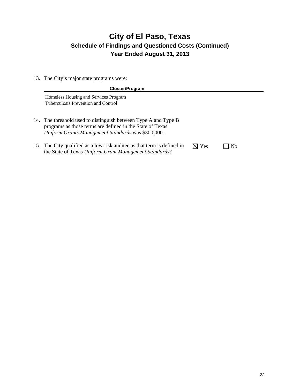13. The City's major state programs were:

| <b>Cluster/Program</b>                                                                                                                                                             |                 |                |  |
|------------------------------------------------------------------------------------------------------------------------------------------------------------------------------------|-----------------|----------------|--|
| Homeless Housing and Services Program<br>Tuberculosis Prevention and Control                                                                                                       |                 |                |  |
| 14. The threshold used to distinguish between Type A and Type B<br>programs as those terms are defined in the State of Texas<br>Uniform Grants Management Standards was \$300,000. |                 |                |  |
| 15. The City qualified as a low-risk auditee as that term is defined in<br>the State of Texas Uniform Grant Management Standards?                                                  | $\boxtimes$ Yes | N <sub>0</sub> |  |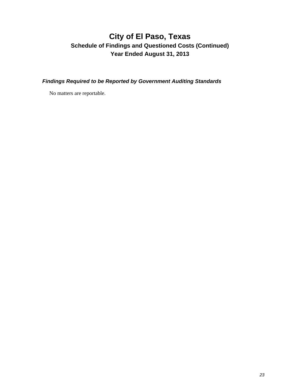*Findings Required to be Reported by Government Auditing Standards* 

No matters are reportable.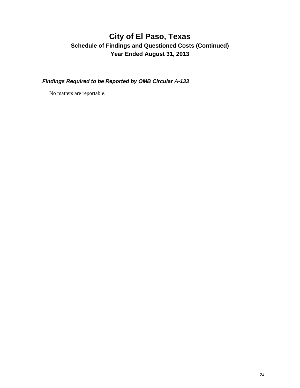*Findings Required to be Reported by OMB Circular A-133* 

No matters are reportable.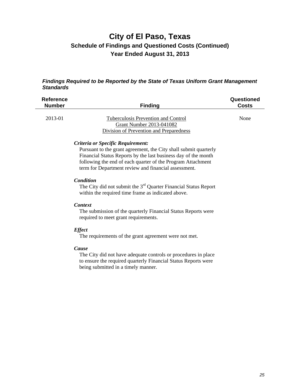#### *Findings Required to be Reported by the State of Texas Uniform Grant Management Standards*

| <b>Reference</b><br><b>Number</b> | <b>Finding</b>                                                                                                                                                                                                                                                                                 | Questioned<br><b>Costs</b> |
|-----------------------------------|------------------------------------------------------------------------------------------------------------------------------------------------------------------------------------------------------------------------------------------------------------------------------------------------|----------------------------|
| 2013-01                           | Tuberculosis Prevention and Control<br>Grant Number 2013-041082<br><b>Division of Prevention and Preparedness</b>                                                                                                                                                                              | None                       |
|                                   | Criteria or Specific Requirement:<br>Pursuant to the grant agreement, the City shall submit quarterly<br>Financial Status Reports by the last business day of the month<br>following the end of each quarter of the Program Attachment<br>term for Department review and financial assessment. |                            |
|                                   | Condition<br>The City did not submit the 3 <sup>rd</sup> Quarter Financial Status Report<br>within the required time frame as indicated above.                                                                                                                                                 |                            |
|                                   | <b>Context</b><br>The submission of the quarterly Financial Status Reports were<br>required to meet grant requirements.                                                                                                                                                                        |                            |
|                                   | <b>Effect</b><br>The requirements of the grant agreement were not met.                                                                                                                                                                                                                         |                            |
|                                   | Cause<br>The City did not have adequate controls or procedures in place<br>to ensure the required quarterly Financial Status Reports were<br>being submitted in a timely manner.                                                                                                               |                            |
|                                   |                                                                                                                                                                                                                                                                                                |                            |
|                                   |                                                                                                                                                                                                                                                                                                |                            |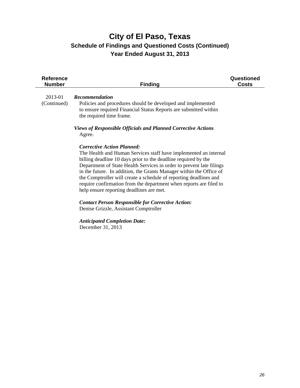| <b>Reference</b><br><b>Number</b> | <b>Finding</b>                                                                                                                                                                                                                                                                                                                                                                                                                                                                                                                                                                                                     | Questioned<br><b>Costs</b> |
|-----------------------------------|--------------------------------------------------------------------------------------------------------------------------------------------------------------------------------------------------------------------------------------------------------------------------------------------------------------------------------------------------------------------------------------------------------------------------------------------------------------------------------------------------------------------------------------------------------------------------------------------------------------------|----------------------------|
| 2013-01<br>(Continued)            | <b>Recommendation</b><br>Policies and procedures should be developed and implemented<br>to ensure required Financial Status Reports are submitted within<br>the required time frame.                                                                                                                                                                                                                                                                                                                                                                                                                               |                            |
|                                   | <b>Views of Responsible Officials and Planned Corrective Actions</b><br>Agree.                                                                                                                                                                                                                                                                                                                                                                                                                                                                                                                                     |                            |
|                                   | <b>Corrective Action Planned:</b><br>The Health and Human Services staff have implemented an internal<br>billing deadline 10 days prior to the deadline required by the<br>Department of State Health Services in order to prevent late filings<br>in the future. In addition, the Grants Manager within the Office of<br>the Comptroller will create a schedule of reporting deadlines and<br>require confirmation from the department when reports are filed to<br>help ensure reporting deadlines are met.<br><b>Contact Person Responsible for Corrective Action:</b><br>Denise Grizzle, Assistant Comptroller |                            |
|                                   | <b>Anticipated Completion Date:</b><br>December 31, 2013                                                                                                                                                                                                                                                                                                                                                                                                                                                                                                                                                           |                            |
|                                   |                                                                                                                                                                                                                                                                                                                                                                                                                                                                                                                                                                                                                    |                            |
|                                   |                                                                                                                                                                                                                                                                                                                                                                                                                                                                                                                                                                                                                    |                            |
|                                   |                                                                                                                                                                                                                                                                                                                                                                                                                                                                                                                                                                                                                    |                            |